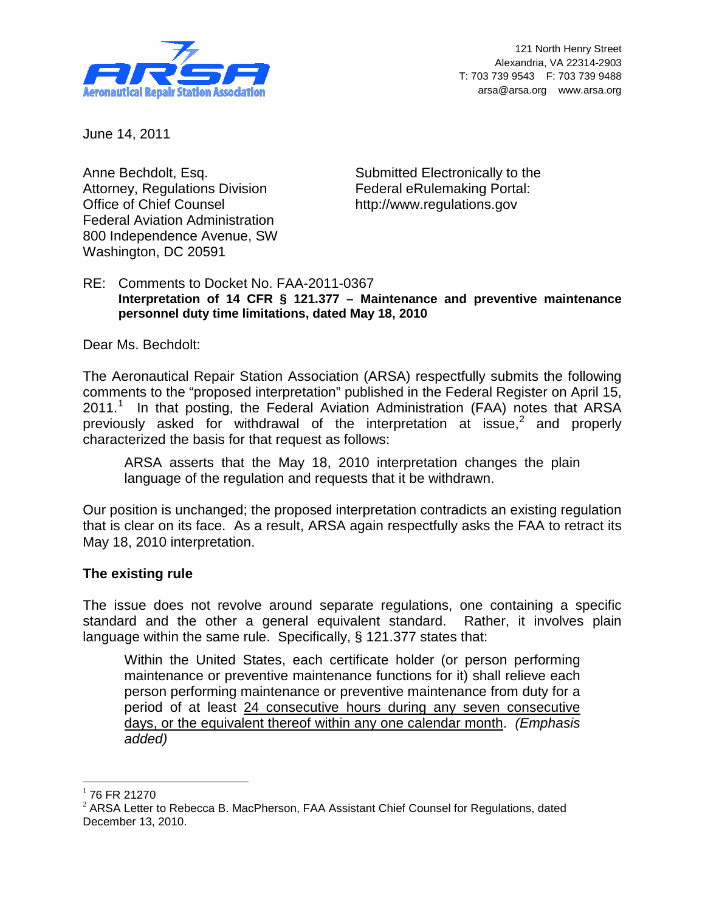

121 North Henry Street Alexandria, VA 22314-2903 T: 703 739 9543 F: 703 739 9488 arsa@arsa.org www.arsa.org

June 14, 2011

Anne Bechdolt, Esq. Attorney, Regulations Division Office of Chief Counsel Federal Aviation Administration 800 Independence Avenue, SW Washington, DC 20591

Submitted Electronically to the Federal eRulemaking Portal: [http://www.regulations.gov](http://frwebgate.access.gpo.gov/cgi-bin/leaving.cgi?from=leavingFR.html&log=linklog&to=http://www.regulations.gov)

## RE: Comments to Docket No. FAA-2011-0367 **Interpretation of 14 CFR § 121.377 – Maintenance and preventive maintenance personnel duty time limitations, dated May 18, 2010**

Dear Ms. Bechdolt:

The Aeronautical Repair Station Association (ARSA) respectfully submits the following comments to the "proposed interpretation" published in the Federal Register on April 15, 20[1](#page-0-0)1.<sup>1</sup> In that posting, the Federal Aviation Administration (FAA) notes that ARSA previously asked for withdrawal of the interpretation at issue,<sup>[2](#page-0-1)</sup> and properly characterized the basis for that request as follows:

ARSA asserts that the May 18, 2010 interpretation changes the plain language of the regulation and requests that it be withdrawn.

Our position is unchanged; the proposed interpretation contradicts an existing regulation that is clear on its face. As a result, ARSA again respectfully asks the FAA to retract its May 18, 2010 interpretation.

## **The existing rule**

The issue does not revolve around separate regulations, one containing a specific standard and the other a general equivalent standard. Rather, it involves plain language within the same rule. Specifically, § 121.377 states that:

Within the United States, each certificate holder (or person performing maintenance or preventive maintenance functions for it) shall relieve each person performing maintenance or preventive maintenance from duty for a period of at least 24 consecutive hours during any seven consecutive days, or the equivalent thereof within any one calendar month. *(Emphasis added)*

<span id="page-0-0"></span> $1$  76 FR 21270

<span id="page-0-2"></span><span id="page-0-1"></span> $<sup>2</sup>$  ARSA Letter to Rebecca B. MacPherson, FAA Assistant Chief Counsel for Regulations, dated</sup> December 13, 2010.